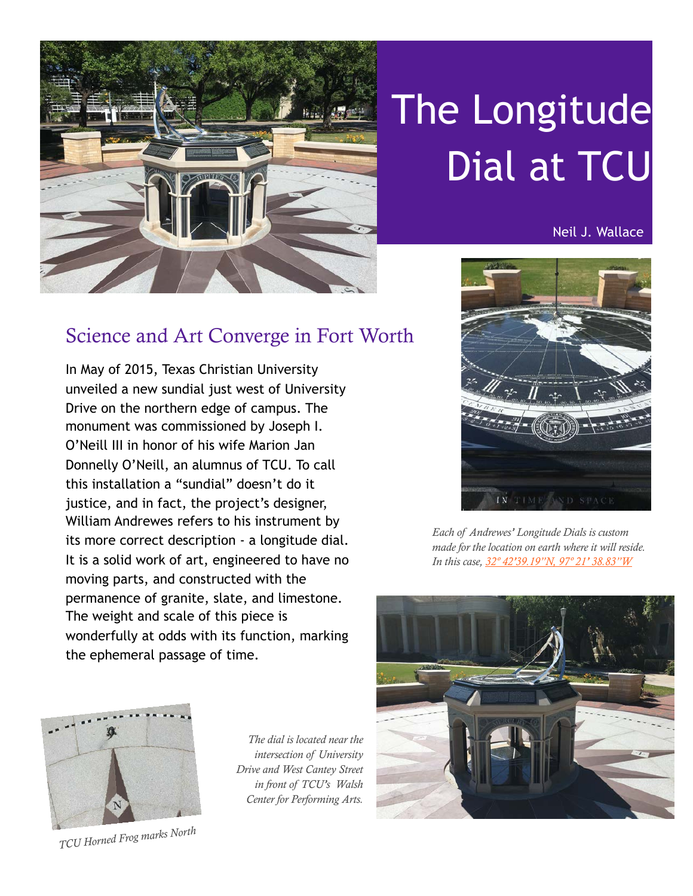

# The Longitude Dial at TCU

Neil J. Wallace

# Science and Art Converge in Fort Worth

In May of 2015, Texas Christian University unveiled a new sundial just west of University Drive on the northern edge of campus. The monument was commissioned by Joseph I. O'Neill III in honor of his wife Marion Jan Donnelly O'Neill, an alumnus of TCU. To call this installation a "sundial" doesn't do it justice, and in fact, the project's designer, William Andrewes refers to his instrument by its more correct description - a longitude dial. It is a solid work of art, engineered to have no moving parts, and constructed with the permanence of granite, slate, and limestone. The weight and scale of this piece is wonderfully at odds with its function, marking the ephemeral passage of time.



*Each of Andrewes' Longitude Dials is custom made for the location on earth where it will reside. In this case, [32º 42'39.19"N, 97º 21' 38.83"W](http://tinyurl.com/zgjtx7a)*





*TCU Horned Frog marks North*

*The dial is located near the intersection of University Drive and West Cantey Street in front of TCU's Walsh Center for Performing Arts.*